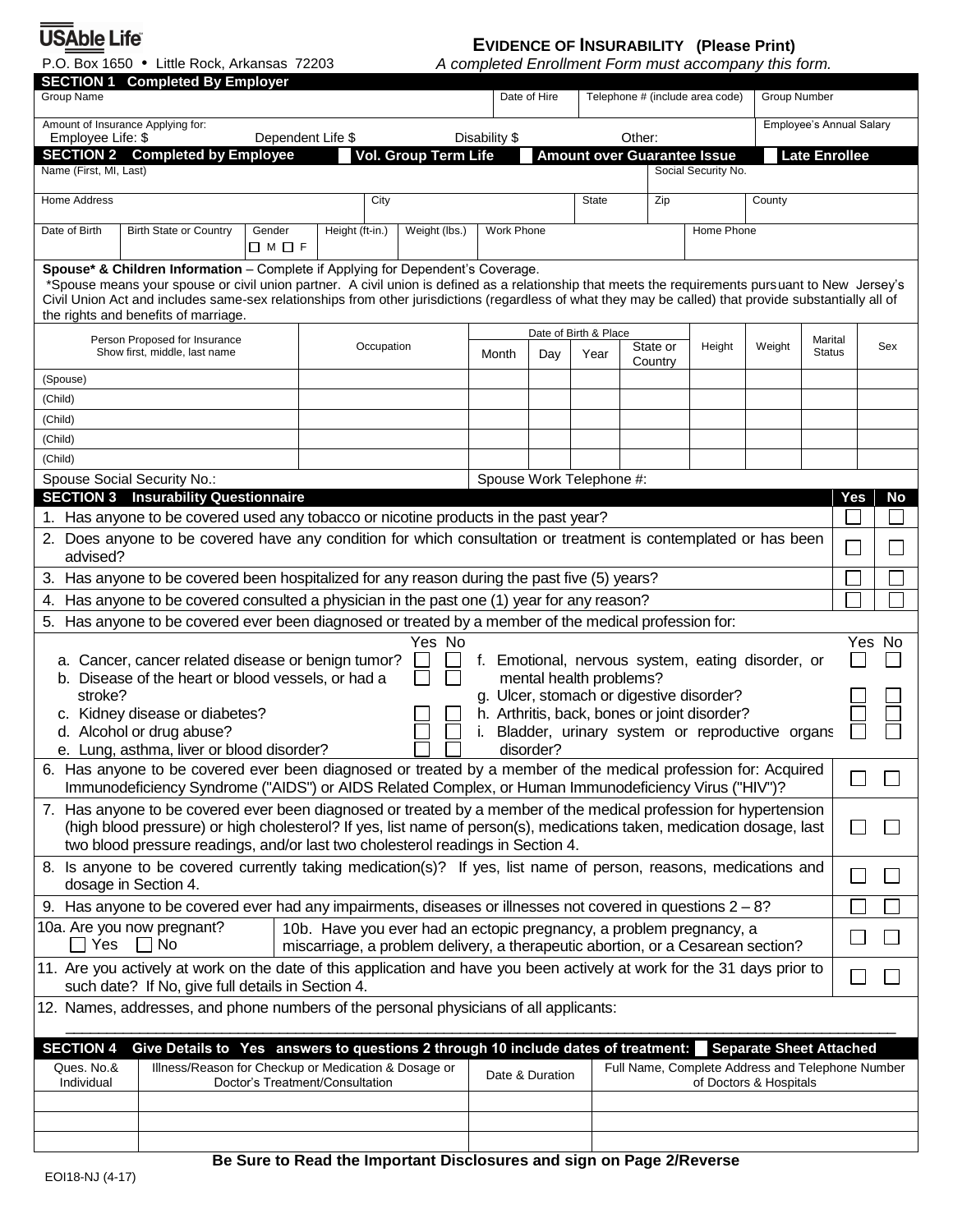USAble Life®

P.O. Box 1650 Little Rock, Arkansas 72203

## **EVIDENCE OF INSURABILITY (Please Print)**

*A completed Enrollment Form must accompany this form.*

| <b>SECTION 1 Completed By Employer</b><br>Group Name                                                                                                                                                                                                                                                                                                                                                                                                                                           |                                                                                                                                                                                                                                                                                                                                                                                                                                        |                   |                                 |                                                                      |               | Date of Hire    |                          |          | Telephone # (include area code)                  |                        | Group Number             |     |     |
|------------------------------------------------------------------------------------------------------------------------------------------------------------------------------------------------------------------------------------------------------------------------------------------------------------------------------------------------------------------------------------------------------------------------------------------------------------------------------------------------|----------------------------------------------------------------------------------------------------------------------------------------------------------------------------------------------------------------------------------------------------------------------------------------------------------------------------------------------------------------------------------------------------------------------------------------|-------------------|---------------------------------|----------------------------------------------------------------------|---------------|-----------------|--------------------------|----------|--------------------------------------------------|------------------------|--------------------------|-----|-----|
| Amount of Insurance Applying for:                                                                                                                                                                                                                                                                                                                                                                                                                                                              |                                                                                                                                                                                                                                                                                                                                                                                                                                        |                   |                                 |                                                                      |               |                 |                          |          |                                                  |                        | Employee's Annual Salary |     |     |
| Employee Life: \$                                                                                                                                                                                                                                                                                                                                                                                                                                                                              | <b>SECTION 2 Completed by Employee</b>                                                                                                                                                                                                                                                                                                                                                                                                 | Dependent Life \$ |                                 | Vol. Group Term Life                                                 | Disability \$ |                 |                          | Other:   | <b>Amount over Guarantee Issue</b>               |                        | <b>Late Enrollee</b>     |     |     |
| Name (First, MI, Last)                                                                                                                                                                                                                                                                                                                                                                                                                                                                         |                                                                                                                                                                                                                                                                                                                                                                                                                                        |                   |                                 |                                                                      |               |                 |                          |          | Social Security No.                              |                        |                          |     |     |
| Home Address<br>City                                                                                                                                                                                                                                                                                                                                                                                                                                                                           |                                                                                                                                                                                                                                                                                                                                                                                                                                        |                   |                                 |                                                                      |               | State<br>Zip    |                          |          |                                                  | County                 |                          |     |     |
| Date of Birth                                                                                                                                                                                                                                                                                                                                                                                                                                                                                  | <b>Birth State or Country</b>                                                                                                                                                                                                                                                                                                                                                                                                          | Gender            | Height (ft-in.)                 | Weight (lbs.)                                                        | Work Phone    |                 |                          |          | Home Phone                                       |                        |                          |     |     |
|                                                                                                                                                                                                                                                                                                                                                                                                                                                                                                |                                                                                                                                                                                                                                                                                                                                                                                                                                        | □M□F              |                                 |                                                                      |               |                 |                          |          |                                                  |                        |                          |     |     |
|                                                                                                                                                                                                                                                                                                                                                                                                                                                                                                | Spouse* & Children Information - Complete if Applying for Dependent's Coverage.<br>*Spouse means your spouse or civil union partner. A civil union is defined as a relationship that meets the requirements pursuant to New Jersey's<br>Civil Union Act and includes same-sex relationships from other jurisdictions (regardless of what they may be called) that provide substantially all of<br>the rights and benefits of marriage. |                   |                                 |                                                                      |               |                 |                          |          |                                                  |                        |                          |     |     |
|                                                                                                                                                                                                                                                                                                                                                                                                                                                                                                | Person Proposed for Insurance                                                                                                                                                                                                                                                                                                                                                                                                          |                   | Occupation                      |                                                                      |               |                 | Date of Birth & Place    | State or | Height                                           | Marital<br>Weight      |                          |     | Sex |
| Show first, middle, last name                                                                                                                                                                                                                                                                                                                                                                                                                                                                  |                                                                                                                                                                                                                                                                                                                                                                                                                                        |                   |                                 |                                                                      | Month         | Day             |                          | Country  |                                                  |                        | <b>Status</b>            |     |     |
| (Spouse)                                                                                                                                                                                                                                                                                                                                                                                                                                                                                       |                                                                                                                                                                                                                                                                                                                                                                                                                                        |                   |                                 |                                                                      |               |                 |                          |          |                                                  |                        |                          |     |     |
| (Child)                                                                                                                                                                                                                                                                                                                                                                                                                                                                                        |                                                                                                                                                                                                                                                                                                                                                                                                                                        |                   |                                 |                                                                      |               |                 |                          |          |                                                  |                        |                          |     |     |
| (Child)                                                                                                                                                                                                                                                                                                                                                                                                                                                                                        |                                                                                                                                                                                                                                                                                                                                                                                                                                        |                   |                                 |                                                                      |               |                 |                          |          |                                                  |                        |                          |     |     |
| (Child)                                                                                                                                                                                                                                                                                                                                                                                                                                                                                        |                                                                                                                                                                                                                                                                                                                                                                                                                                        |                   |                                 |                                                                      |               |                 |                          |          |                                                  |                        |                          |     |     |
| (Child)                                                                                                                                                                                                                                                                                                                                                                                                                                                                                        |                                                                                                                                                                                                                                                                                                                                                                                                                                        |                   |                                 |                                                                      |               |                 |                          |          |                                                  |                        |                          |     |     |
| Spouse Social Security No.:                                                                                                                                                                                                                                                                                                                                                                                                                                                                    | <b>SECTION 3 Insurability Questionnaire</b>                                                                                                                                                                                                                                                                                                                                                                                            |                   |                                 |                                                                      |               |                 | Spouse Work Telephone #: |          |                                                  |                        |                          | Yes | No  |
|                                                                                                                                                                                                                                                                                                                                                                                                                                                                                                |                                                                                                                                                                                                                                                                                                                                                                                                                                        |                   |                                 |                                                                      |               |                 |                          |          |                                                  |                        |                          |     |     |
| 1. Has anyone to be covered used any tobacco or nicotine products in the past year?<br>2. Does anyone to be covered have any condition for which consultation or treatment is contemplated or has been                                                                                                                                                                                                                                                                                         |                                                                                                                                                                                                                                                                                                                                                                                                                                        |                   |                                 |                                                                      |               |                 |                          |          |                                                  |                        |                          |     |     |
|                                                                                                                                                                                                                                                                                                                                                                                                                                                                                                | advised?                                                                                                                                                                                                                                                                                                                                                                                                                               |                   |                                 |                                                                      |               |                 |                          |          |                                                  |                        |                          |     |     |
| 3. Has anyone to be covered been hospitalized for any reason during the past five (5) years?                                                                                                                                                                                                                                                                                                                                                                                                   |                                                                                                                                                                                                                                                                                                                                                                                                                                        |                   |                                 |                                                                      |               |                 |                          |          |                                                  |                        |                          |     |     |
| Has anyone to be covered consulted a physician in the past one (1) year for any reason?<br>4.<br>5. Has anyone to be covered ever been diagnosed or treated by a member of the medical profession for:                                                                                                                                                                                                                                                                                         |                                                                                                                                                                                                                                                                                                                                                                                                                                        |                   |                                 |                                                                      |               |                 |                          |          |                                                  |                        |                          |     |     |
| Yes No<br>Yes No<br>a. Cancer, cancer related disease or benign tumor?<br>f. Emotional, nervous system, eating disorder, or<br>mental health problems?<br>b. Disease of the heart or blood vessels, or had a<br>stroke?<br>g. Ulcer, stomach or digestive disorder?<br>h. Arthritis, back, bones or joint disorder?<br>c. Kidney disease or diabetes?<br>d. Alcohol or drug abuse?<br>Bladder, urinary system or reproductive organs<br>e. Lung, asthma, liver or blood disorder?<br>disorder? |                                                                                                                                                                                                                                                                                                                                                                                                                                        |                   |                                 |                                                                      |               |                 |                          |          |                                                  |                        |                          |     |     |
| Has anyone to be covered ever been diagnosed or treated by a member of the medical profession for: Acquired<br>6.<br>$\Box$<br>$\Box$<br>Immunodeficiency Syndrome ("AIDS") or AIDS Related Complex, or Human Immunodeficiency Virus ("HIV")?                                                                                                                                                                                                                                                  |                                                                                                                                                                                                                                                                                                                                                                                                                                        |                   |                                 |                                                                      |               |                 |                          |          |                                                  |                        |                          |     |     |
| 7. Has anyone to be covered ever been diagnosed or treated by a member of the medical profession for hypertension<br>(high blood pressure) or high cholesterol? If yes, list name of person(s), medications taken, medication dosage, last<br>$\Box$<br>two blood pressure readings, and/or last two cholesterol readings in Section 4.                                                                                                                                                        |                                                                                                                                                                                                                                                                                                                                                                                                                                        |                   |                                 |                                                                      |               |                 |                          |          |                                                  |                        |                          |     |     |
| 8. Is anyone to be covered currently taking medication(s)? If yes, list name of person, reasons, medications and<br>$\Box$<br>dosage in Section 4.                                                                                                                                                                                                                                                                                                                                             |                                                                                                                                                                                                                                                                                                                                                                                                                                        |                   |                                 |                                                                      |               |                 |                          |          |                                                  |                        |                          |     |     |
|                                                                                                                                                                                                                                                                                                                                                                                                                                                                                                | 9. Has anyone to be covered ever had any impairments, diseases or illnesses not covered in questions $2-8$ ?                                                                                                                                                                                                                                                                                                                           |                   |                                 |                                                                      |               |                 |                          |          |                                                  |                        |                          |     |     |
| 10a. Are you now pregnant?<br>10b. Have you ever had an ectopic pregnancy, a problem pregnancy, a<br>Yes<br>$\Box$ No<br>miscarriage, a problem delivery, a therapeutic abortion, or a Cesarean section?                                                                                                                                                                                                                                                                                       |                                                                                                                                                                                                                                                                                                                                                                                                                                        |                   |                                 |                                                                      |               |                 |                          |          | $\Box$                                           |                        |                          |     |     |
| 11. Are you actively at work on the date of this application and have you been actively at work for the 31 days prior to                                                                                                                                                                                                                                                                                                                                                                       |                                                                                                                                                                                                                                                                                                                                                                                                                                        |                   |                                 |                                                                      |               |                 |                          |          | $\Box$                                           |                        |                          |     |     |
| such date? If No, give full details in Section 4.<br>12. Names, addresses, and phone numbers of the personal physicians of all applicants:                                                                                                                                                                                                                                                                                                                                                     |                                                                                                                                                                                                                                                                                                                                                                                                                                        |                   |                                 |                                                                      |               |                 |                          |          |                                                  |                        |                          |     |     |
|                                                                                                                                                                                                                                                                                                                                                                                                                                                                                                |                                                                                                                                                                                                                                                                                                                                                                                                                                        |                   |                                 |                                                                      |               |                 |                          |          |                                                  |                        |                          |     |     |
| <b>SECTION 4</b><br>Give Details to Yes answers to questions 2 through 10 include dates of treatment: Separate Sheet Attached                                                                                                                                                                                                                                                                                                                                                                  |                                                                                                                                                                                                                                                                                                                                                                                                                                        |                   |                                 |                                                                      |               |                 |                          |          |                                                  |                        |                          |     |     |
| Ques. No.&<br>Individual                                                                                                                                                                                                                                                                                                                                                                                                                                                                       | Illness/Reason for Checkup or Medication & Dosage or                                                                                                                                                                                                                                                                                                                                                                                   |                   | Doctor's Treatment/Consultation |                                                                      |               | Date & Duration |                          |          | Full Name, Complete Address and Telephone Number | of Doctors & Hospitals |                          |     |     |
|                                                                                                                                                                                                                                                                                                                                                                                                                                                                                                |                                                                                                                                                                                                                                                                                                                                                                                                                                        |                   |                                 |                                                                      |               |                 |                          |          |                                                  |                        |                          |     |     |
|                                                                                                                                                                                                                                                                                                                                                                                                                                                                                                |                                                                                                                                                                                                                                                                                                                                                                                                                                        |                   |                                 |                                                                      |               |                 |                          |          |                                                  |                        |                          |     |     |
|                                                                                                                                                                                                                                                                                                                                                                                                                                                                                                |                                                                                                                                                                                                                                                                                                                                                                                                                                        |                   |                                 |                                                                      |               |                 |                          |          |                                                  |                        |                          |     |     |
|                                                                                                                                                                                                                                                                                                                                                                                                                                                                                                |                                                                                                                                                                                                                                                                                                                                                                                                                                        |                   |                                 | Re Sure to Read the Impertant Disclosures and sign on Rage 2/Reverse |               |                 |                          |          |                                                  |                        |                          |     |     |

**Be Sure to Read the Important Disclosures and sign on Page 2/Reverse**